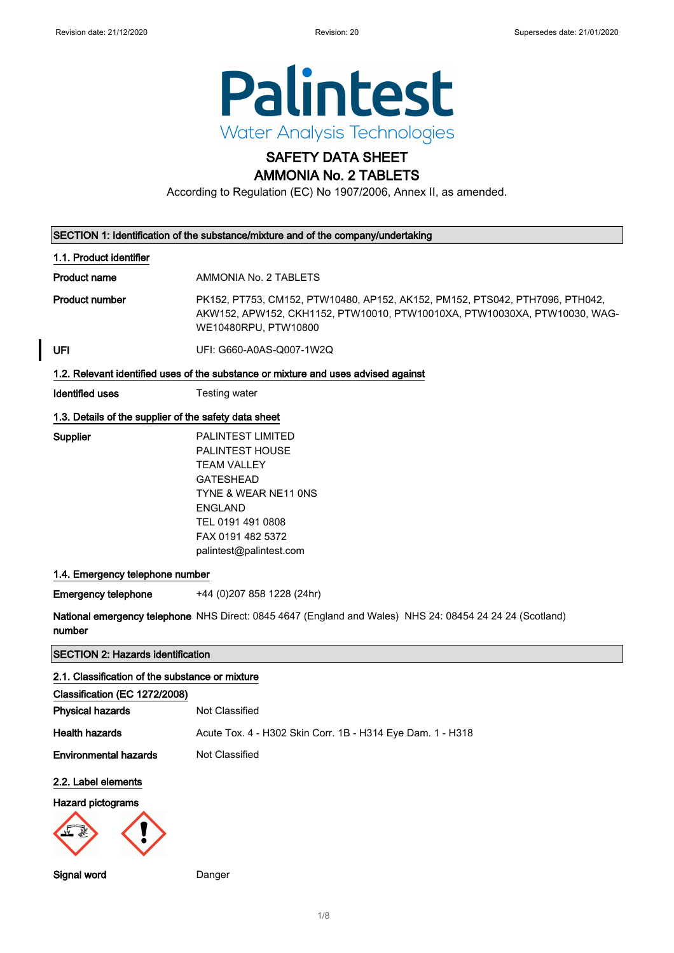

# SAFETY DATA SHEET

AMMONIA No. 2 TABLETS

According to Regulation (EC) No 1907/2006, Annex II, as amended.

| SECTION 1: Identification of the substance/mixture and of the company/undertaking |                                                                                                                                                                                               |  |
|-----------------------------------------------------------------------------------|-----------------------------------------------------------------------------------------------------------------------------------------------------------------------------------------------|--|
| 1.1. Product identifier                                                           |                                                                                                                                                                                               |  |
| <b>Product name</b>                                                               | AMMONIA No. 2 TABLETS                                                                                                                                                                         |  |
| <b>Product number</b>                                                             | PK152, PT753, CM152, PTW10480, AP152, AK152, PM152, PTS042, PTH7096, PTH042,<br>AKW152, APW152, CKH1152, PTW10010, PTW10010XA, PTW10030XA, PTW10030, WAG-<br>WE10480RPU, PTW10800             |  |
| UFI                                                                               | UFI: G660-A0AS-Q007-1W2Q                                                                                                                                                                      |  |
|                                                                                   | 1.2. Relevant identified uses of the substance or mixture and uses advised against                                                                                                            |  |
| <b>Identified uses</b>                                                            | Testing water                                                                                                                                                                                 |  |
| 1.3. Details of the supplier of the safety data sheet                             |                                                                                                                                                                                               |  |
| Supplier                                                                          | PALINTEST LIMITED<br>PALINTEST HOUSE<br><b>TEAM VALLEY</b><br><b>GATESHEAD</b><br>TYNE & WEAR NE11 ONS<br><b>ENGLAND</b><br>TEL 0191 491 0808<br>FAX 0191 482 5372<br>palintest@palintest.com |  |
| 1.4. Emergency telephone number                                                   |                                                                                                                                                                                               |  |
| <b>Emergency telephone</b>                                                        | +44 (0) 207 858 1228 (24hr)                                                                                                                                                                   |  |
| number                                                                            | National emergency telephone NHS Direct: 0845 4647 (England and Wales) NHS 24: 08454 24 24 24 (Scotland)                                                                                      |  |
| <b>SECTION 2: Hazards identification</b>                                          |                                                                                                                                                                                               |  |
| 2.1. Classification of the substance or mixture                                   |                                                                                                                                                                                               |  |
| Classification (EC 1272/2008)                                                     |                                                                                                                                                                                               |  |
| <b>Physical hazards</b>                                                           | Not Classified                                                                                                                                                                                |  |
| <b>Health hazards</b>                                                             | Acute Tox. 4 - H302 Skin Corr. 1B - H314 Eye Dam. 1 - H318                                                                                                                                    |  |
| <b>Environmental hazards</b>                                                      | Not Classified                                                                                                                                                                                |  |
| 2.2. Label elements                                                               |                                                                                                                                                                                               |  |
| <b>Hazard pictograms</b>                                                          |                                                                                                                                                                                               |  |
|                                                                                   |                                                                                                                                                                                               |  |
| Signal word                                                                       | Danger                                                                                                                                                                                        |  |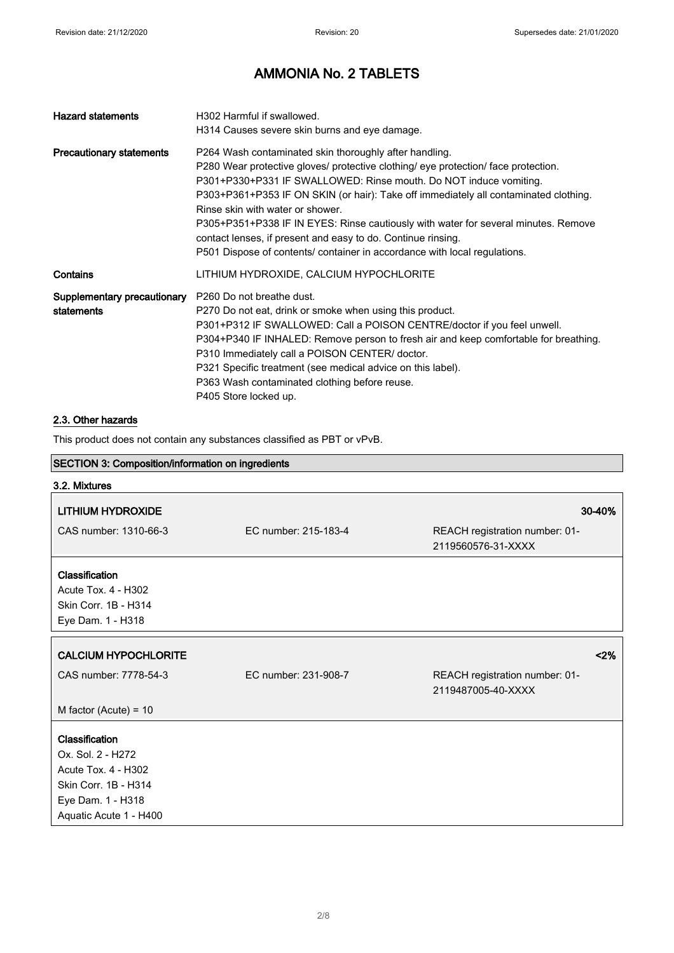| <b>Hazard statements</b>        | H302 Harmful if swallowed.                                                                                               |
|---------------------------------|--------------------------------------------------------------------------------------------------------------------------|
|                                 | H314 Causes severe skin burns and eye damage.                                                                            |
| <b>Precautionary statements</b> | P264 Wash contaminated skin thoroughly after handling.                                                                   |
|                                 | P280 Wear protective gloves/ protective clothing/ eye protection/ face protection.                                       |
|                                 | P301+P330+P331 IF SWALLOWED: Rinse mouth. Do NOT induce vomiting.                                                        |
|                                 | P303+P361+P353 IF ON SKIN (or hair): Take off immediately all contaminated clothing.<br>Rinse skin with water or shower. |
|                                 | P305+P351+P338 IF IN EYES: Rinse cautiously with water for several minutes. Remove                                       |
|                                 | contact lenses, if present and easy to do. Continue rinsing.                                                             |
|                                 | P501 Dispose of contents/ container in accordance with local regulations.                                                |
| Contains                        | LITHIUM HYDROXIDE, CALCIUM HYPOCHLORITE                                                                                  |
| Supplementary precautionary     | P <sub>260</sub> Do not breathe dust.                                                                                    |
| statements                      | P270 Do not eat, drink or smoke when using this product.                                                                 |
|                                 | P301+P312 IF SWALLOWED: Call a POISON CENTRE/doctor if you feel unwell.                                                  |
|                                 | P304+P340 IF INHALED: Remove person to fresh air and keep comfortable for breathing.                                     |
|                                 | P310 Immediately call a POISON CENTER/ doctor.                                                                           |
|                                 | P321 Specific treatment (see medical advice on this label).                                                              |
|                                 | P363 Wash contaminated clothing before reuse.                                                                            |
|                                 | P405 Store locked up.                                                                                                    |

## 2.3. Other hazards

This product does not contain any substances classified as PBT or vPvB.

| SECTION 3: Composition/information on ingredients |                      |                                                      |
|---------------------------------------------------|----------------------|------------------------------------------------------|
| 3.2. Mixtures                                     |                      |                                                      |
| <b>LITHIUM HYDROXIDE</b>                          |                      | 30-40%                                               |
| CAS number: 1310-66-3                             | EC number: 215-183-4 | REACH registration number: 01-<br>2119560576-31-XXXX |
| Classification                                    |                      |                                                      |
| Acute Tox. 4 - H302                               |                      |                                                      |
| Skin Corr. 1B - H314                              |                      |                                                      |
| Eye Dam. 1 - H318                                 |                      |                                                      |
| <b>CALCIUM HYPOCHLORITE</b>                       |                      | < 2%                                                 |
| CAS number: 7778-54-3                             | EC number: 231-908-7 | REACH registration number: 01-<br>2119487005-40-XXXX |
| M factor (Acute) = $10$                           |                      |                                                      |
| Classification                                    |                      |                                                      |
| Ox. Sol. 2 - H272                                 |                      |                                                      |
| Acute Tox. 4 - H302                               |                      |                                                      |
| Skin Corr. 1B - H314                              |                      |                                                      |
| Eye Dam. 1 - H318                                 |                      |                                                      |
| Aquatic Acute 1 - H400                            |                      |                                                      |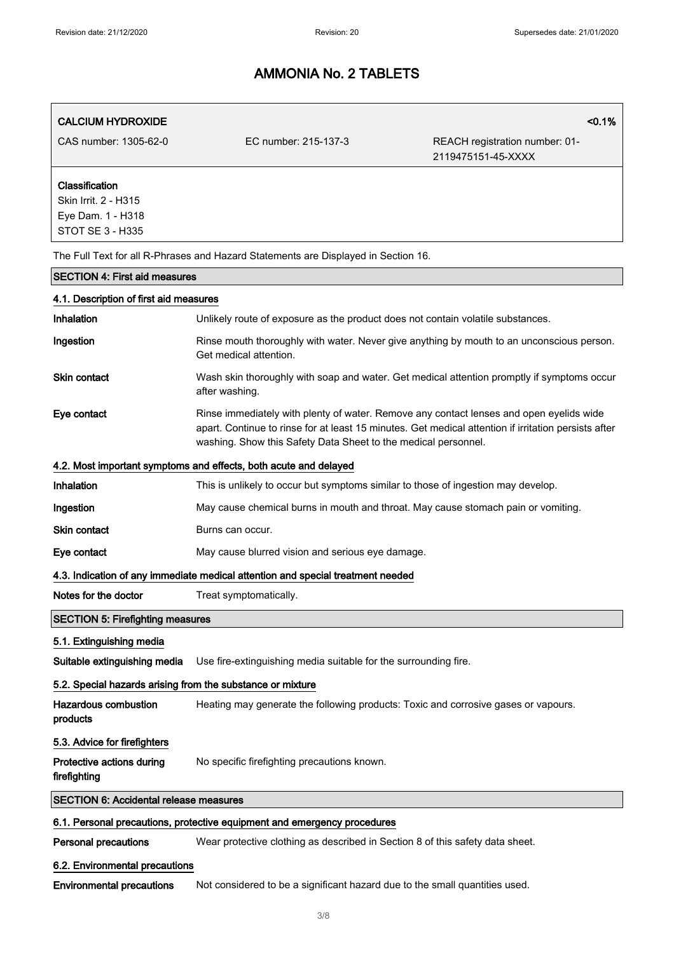| <b>CALCIUM HYDROXIDE</b>                                                               |                                                                                                                                                                                                                                                                   | < 0.1%                                               |
|----------------------------------------------------------------------------------------|-------------------------------------------------------------------------------------------------------------------------------------------------------------------------------------------------------------------------------------------------------------------|------------------------------------------------------|
| CAS number: 1305-62-0                                                                  | EC number: 215-137-3                                                                                                                                                                                                                                              | REACH registration number: 01-<br>2119475151-45-XXXX |
| Classification<br>Skin Irrit. 2 - H315<br>Eye Dam. 1 - H318<br><b>STOT SE 3 - H335</b> |                                                                                                                                                                                                                                                                   |                                                      |
|                                                                                        | The Full Text for all R-Phrases and Hazard Statements are Displayed in Section 16.                                                                                                                                                                                |                                                      |
| <b>SECTION 4: First aid measures</b>                                                   |                                                                                                                                                                                                                                                                   |                                                      |
| 4.1. Description of first aid measures                                                 |                                                                                                                                                                                                                                                                   |                                                      |
| Inhalation                                                                             | Unlikely route of exposure as the product does not contain volatile substances.                                                                                                                                                                                   |                                                      |
| Ingestion                                                                              | Rinse mouth thoroughly with water. Never give anything by mouth to an unconscious person.<br>Get medical attention.                                                                                                                                               |                                                      |
| <b>Skin contact</b>                                                                    | Wash skin thoroughly with soap and water. Get medical attention promptly if symptoms occur<br>after washing.                                                                                                                                                      |                                                      |
| Eye contact                                                                            | Rinse immediately with plenty of water. Remove any contact lenses and open eyelids wide<br>apart. Continue to rinse for at least 15 minutes. Get medical attention if irritation persists after<br>washing. Show this Safety Data Sheet to the medical personnel. |                                                      |
|                                                                                        | 4.2. Most important symptoms and effects, both acute and delayed                                                                                                                                                                                                  |                                                      |
| Inhalation                                                                             | This is unlikely to occur but symptoms similar to those of ingestion may develop.                                                                                                                                                                                 |                                                      |
| Ingestion                                                                              | May cause chemical burns in mouth and throat. May cause stomach pain or vomiting.                                                                                                                                                                                 |                                                      |
| <b>Skin contact</b>                                                                    | Burns can occur.                                                                                                                                                                                                                                                  |                                                      |
| Eye contact                                                                            | May cause blurred vision and serious eye damage.                                                                                                                                                                                                                  |                                                      |
|                                                                                        | 4.3. Indication of any immediate medical attention and special treatment needed                                                                                                                                                                                   |                                                      |
| Notes for the doctor                                                                   | Treat symptomatically.                                                                                                                                                                                                                                            |                                                      |
| <b>SECTION 5: Firefighting measures</b>                                                |                                                                                                                                                                                                                                                                   |                                                      |
| 5.1. Extinguishing media                                                               |                                                                                                                                                                                                                                                                   |                                                      |
| Suitable extinguishing media                                                           | Use fire-extinguishing media suitable for the surrounding fire.                                                                                                                                                                                                   |                                                      |
| 5.2. Special hazards arising from the substance or mixture                             |                                                                                                                                                                                                                                                                   |                                                      |
| <b>Hazardous combustion</b><br>products                                                | Heating may generate the following products: Toxic and corrosive gases or vapours.                                                                                                                                                                                |                                                      |
| 5.3. Advice for firefighters                                                           |                                                                                                                                                                                                                                                                   |                                                      |
| Protective actions during<br>firefighting                                              | No specific firefighting precautions known.                                                                                                                                                                                                                       |                                                      |
| <b>SECTION 6: Accidental release measures</b>                                          |                                                                                                                                                                                                                                                                   |                                                      |
|                                                                                        | 6.1. Personal precautions, protective equipment and emergency procedures                                                                                                                                                                                          |                                                      |
| <b>Personal precautions</b>                                                            | Wear protective clothing as described in Section 8 of this safety data sheet.                                                                                                                                                                                     |                                                      |
| 6.2. Environmental precautions                                                         |                                                                                                                                                                                                                                                                   |                                                      |
| <b>Environmental precautions</b>                                                       | Not considered to be a significant hazard due to the small quantities used.                                                                                                                                                                                       |                                                      |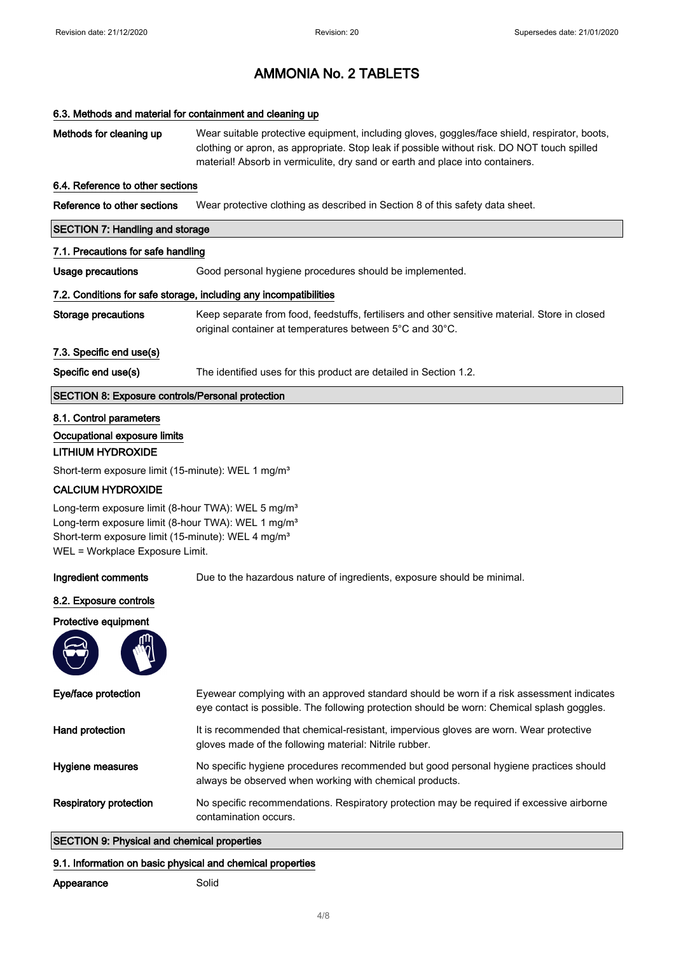#### 6.3. Methods and material for containment and cleaning up

| Methods for cleaning up                                                                                                                                                                                                               | Wear suitable protective equipment, including gloves, goggles/face shield, respirator, boots,<br>clothing or apron, as appropriate. Stop leak if possible without risk. DO NOT touch spilled<br>material! Absorb in vermiculite, dry sand or earth and place into containers. |
|---------------------------------------------------------------------------------------------------------------------------------------------------------------------------------------------------------------------------------------|-------------------------------------------------------------------------------------------------------------------------------------------------------------------------------------------------------------------------------------------------------------------------------|
| 6.4. Reference to other sections                                                                                                                                                                                                      |                                                                                                                                                                                                                                                                               |
| Reference to other sections                                                                                                                                                                                                           | Wear protective clothing as described in Section 8 of this safety data sheet.                                                                                                                                                                                                 |
| <b>SECTION 7: Handling and storage</b>                                                                                                                                                                                                |                                                                                                                                                                                                                                                                               |
| 7.1. Precautions for safe handling                                                                                                                                                                                                    |                                                                                                                                                                                                                                                                               |
| Usage precautions                                                                                                                                                                                                                     | Good personal hygiene procedures should be implemented.                                                                                                                                                                                                                       |
|                                                                                                                                                                                                                                       | 7.2. Conditions for safe storage, including any incompatibilities                                                                                                                                                                                                             |
| <b>Storage precautions</b>                                                                                                                                                                                                            | Keep separate from food, feedstuffs, fertilisers and other sensitive material. Store in closed<br>original container at temperatures between 5°C and 30°C.                                                                                                                    |
| 7.3. Specific end use(s)                                                                                                                                                                                                              |                                                                                                                                                                                                                                                                               |
| Specific end use(s)                                                                                                                                                                                                                   | The identified uses for this product are detailed in Section 1.2.                                                                                                                                                                                                             |
| <b>SECTION 8: Exposure controls/Personal protection</b>                                                                                                                                                                               |                                                                                                                                                                                                                                                                               |
| 8.1. Control parameters<br>Occupational exposure limits<br><b>LITHIUM HYDROXIDE</b>                                                                                                                                                   |                                                                                                                                                                                                                                                                               |
| Short-term exposure limit (15-minute): WEL 1 mg/m <sup>3</sup>                                                                                                                                                                        |                                                                                                                                                                                                                                                                               |
| <b>CALCIUM HYDROXIDE</b>                                                                                                                                                                                                              |                                                                                                                                                                                                                                                                               |
| Long-term exposure limit (8-hour TWA): WEL 5 mg/m <sup>3</sup><br>Long-term exposure limit (8-hour TWA): WEL 1 mg/m <sup>3</sup><br>Short-term exposure limit (15-minute): WEL 4 mg/m <sup>3</sup><br>WEL = Workplace Exposure Limit. |                                                                                                                                                                                                                                                                               |
| Ingredient comments                                                                                                                                                                                                                   | Due to the hazardous nature of ingredients, exposure should be minimal.                                                                                                                                                                                                       |
| 8.2. Exposure controls                                                                                                                                                                                                                |                                                                                                                                                                                                                                                                               |
| Protective equipment                                                                                                                                                                                                                  |                                                                                                                                                                                                                                                                               |
|                                                                                                                                                                                                                                       |                                                                                                                                                                                                                                                                               |
| Eye/face protection                                                                                                                                                                                                                   | Eyewear complying with an approved standard should be worn if a risk assessment indicates<br>eye contact is possible. The following protection should be worn: Chemical splash goggles.                                                                                       |
| Hand protection                                                                                                                                                                                                                       | It is recommended that chemical-resistant, impervious gloves are worn. Wear protective<br>gloves made of the following material: Nitrile rubber.                                                                                                                              |
| Hygiene measures                                                                                                                                                                                                                      | No specific hygiene procedures recommended but good personal hygiene practices should                                                                                                                                                                                         |

always be observed when working with chemical products. Respiratory protection No specific recommendations. Respiratory protection may be required if excessive airborne contamination occurs.

## SECTION 9: Physical and chemical properties

#### 9.1. Information on basic physical and chemical properties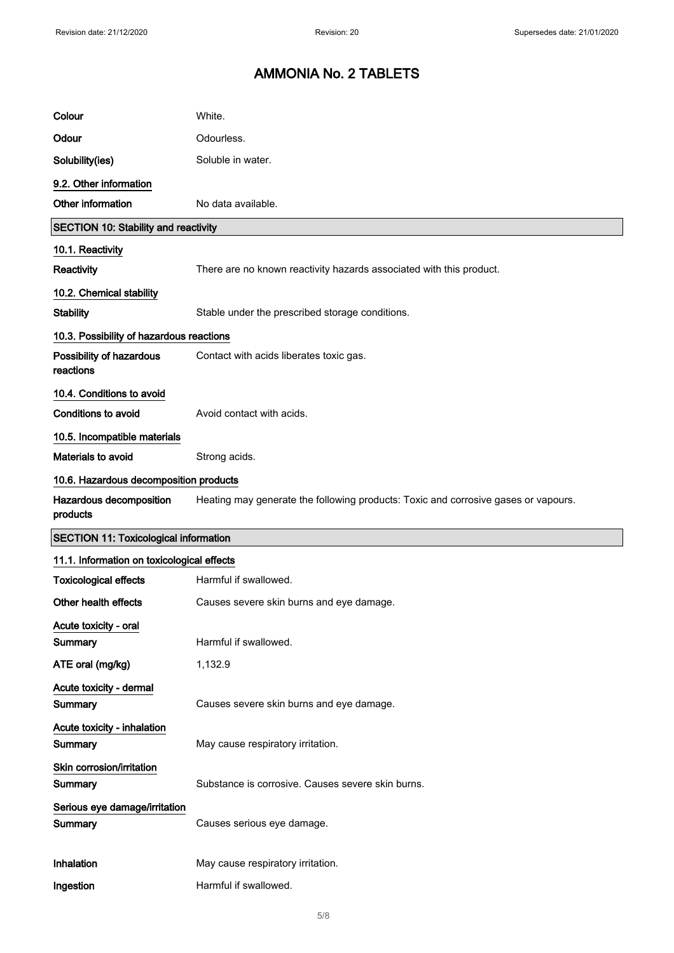| Colour                                       | White.                                                                             |
|----------------------------------------------|------------------------------------------------------------------------------------|
| Odour                                        | Odourless.                                                                         |
| Solubility(ies)                              | Soluble in water.                                                                  |
| 9.2. Other information                       |                                                                                    |
| Other information                            | No data available.                                                                 |
| <b>SECTION 10: Stability and reactivity</b>  |                                                                                    |
| 10.1. Reactivity                             |                                                                                    |
| Reactivity                                   | There are no known reactivity hazards associated with this product.                |
| 10.2. Chemical stability                     |                                                                                    |
| <b>Stability</b>                             | Stable under the prescribed storage conditions.                                    |
| 10.3. Possibility of hazardous reactions     |                                                                                    |
| Possibility of hazardous<br>reactions        | Contact with acids liberates toxic gas.                                            |
| 10.4. Conditions to avoid                    |                                                                                    |
| <b>Conditions to avoid</b>                   | Avoid contact with acids.                                                          |
| 10.5. Incompatible materials                 |                                                                                    |
| Materials to avoid                           | Strong acids.                                                                      |
| 10.6. Hazardous decomposition products       |                                                                                    |
| Hazardous decomposition<br>products          | Heating may generate the following products: Toxic and corrosive gases or vapours. |
| <b>SECTION 11: Toxicological information</b> |                                                                                    |
| 11.1. Information on toxicological effects   |                                                                                    |
| <b>Toxicological effects</b>                 | Harmful if swallowed.                                                              |
| Other health effects                         | Causes severe skin burns and eye damage.                                           |
| Acute toxicity - oral                        |                                                                                    |
| Summary                                      | Harmful if swallowed.                                                              |
| ATE oral (mg/kg)                             | 1,132.9                                                                            |
| Acute toxicity - dermal<br><b>Summary</b>    | Causes severe skin burns and eye damage.                                           |
| Acute toxicity - inhalation                  |                                                                                    |
|                                              |                                                                                    |
| Summary                                      | May cause respiratory irritation.                                                  |
| Skin corrosion/irritation<br>Summary         | Substance is corrosive. Causes severe skin burns.                                  |
| Serious eye damage/irritation<br>Summary     | Causes serious eye damage.                                                         |
| Inhalation                                   | May cause respiratory irritation.                                                  |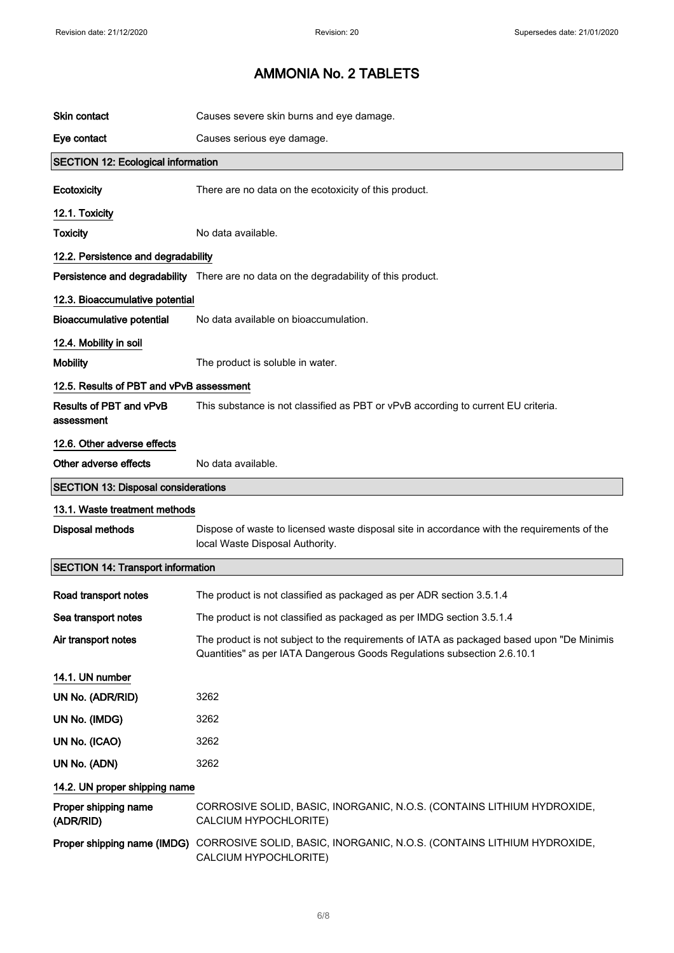| <b>Skin contact</b>                        | Causes severe skin burns and eye damage.                                                                                                                             |
|--------------------------------------------|----------------------------------------------------------------------------------------------------------------------------------------------------------------------|
|                                            |                                                                                                                                                                      |
| Eye contact                                | Causes serious eye damage.                                                                                                                                           |
| <b>SECTION 12: Ecological information</b>  |                                                                                                                                                                      |
| Ecotoxicity                                | There are no data on the ecotoxicity of this product.                                                                                                                |
| 12.1. Toxicity                             |                                                                                                                                                                      |
| <b>Toxicity</b>                            | No data available.                                                                                                                                                   |
| 12.2. Persistence and degradability        |                                                                                                                                                                      |
|                                            | Persistence and degradability There are no data on the degradability of this product.                                                                                |
| 12.3. Bioaccumulative potential            |                                                                                                                                                                      |
| <b>Bioaccumulative potential</b>           | No data available on bioaccumulation.                                                                                                                                |
| 12.4. Mobility in soil                     |                                                                                                                                                                      |
| <b>Mobility</b>                            | The product is soluble in water.                                                                                                                                     |
| 12.5. Results of PBT and vPvB assessment   |                                                                                                                                                                      |
| Results of PBT and vPvB<br>assessment      | This substance is not classified as PBT or vPvB according to current EU criteria.                                                                                    |
| 12.6. Other adverse effects                |                                                                                                                                                                      |
| Other adverse effects                      | No data available.                                                                                                                                                   |
| <b>SECTION 13: Disposal considerations</b> |                                                                                                                                                                      |
| 13.1. Waste treatment methods              |                                                                                                                                                                      |
| <b>Disposal methods</b>                    | Dispose of waste to licensed waste disposal site in accordance with the requirements of the<br>local Waste Disposal Authority.                                       |
| <b>SECTION 14: Transport information</b>   |                                                                                                                                                                      |
| Road transport notes                       | The product is not classified as packaged as per ADR section 3.5.1.4                                                                                                 |
| Sea transport notes                        | The product is not classified as packaged as per IMDG section 3.5.1.4                                                                                                |
| Air transport notes                        | The product is not subject to the requirements of IATA as packaged based upon "De Minimis<br>Quantities" as per IATA Dangerous Goods Regulations subsection 2.6.10.1 |
| 14.1. UN number                            |                                                                                                                                                                      |
| UN No. (ADR/RID)                           | 3262                                                                                                                                                                 |
| UN No. (IMDG)                              | 3262                                                                                                                                                                 |
| UN No. (ICAO)                              | 3262                                                                                                                                                                 |
| UN No. (ADN)                               | 3262                                                                                                                                                                 |
| 14.2. UN proper shipping name              |                                                                                                                                                                      |
| Proper shipping name<br>(ADR/RID)          | CORROSIVE SOLID, BASIC, INORGANIC, N.O.S. (CONTAINS LITHIUM HYDROXIDE,<br>CALCIUM HYPOCHLORITE)                                                                      |
|                                            | Proper shipping name (IMDG) CORROSIVE SOLID, BASIC, INORGANIC, N.O.S. (CONTAINS LITHIUM HYDROXIDE,<br>CALCIUM HYPOCHLORITE)                                          |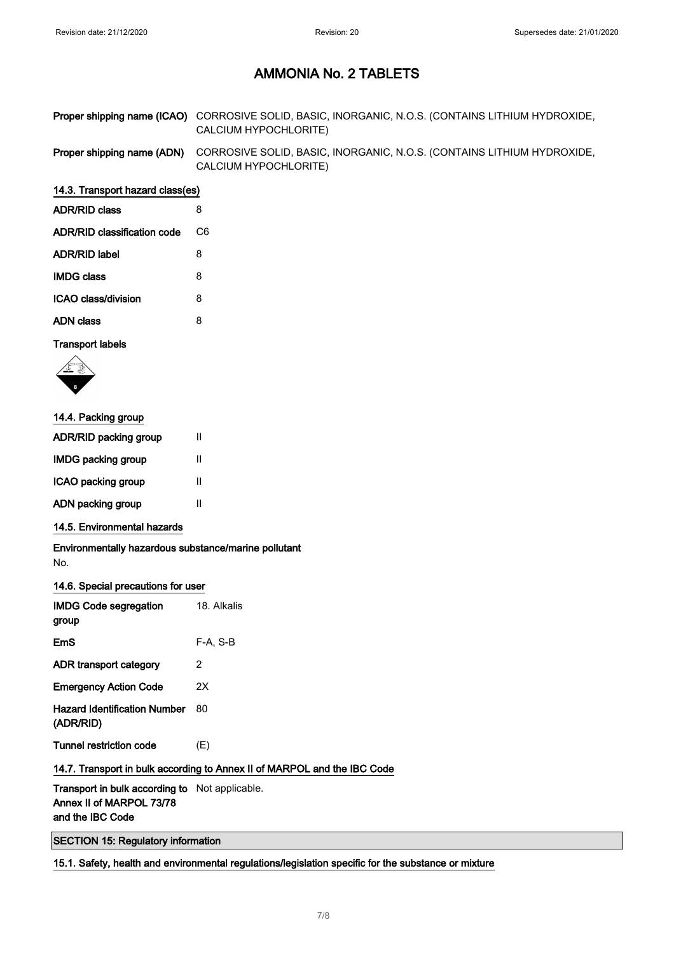Proper shipping name (ICAO) CORROSIVE SOLID, BASIC, INORGANIC, N.O.S. (CONTAINS LITHIUM HYDROXIDE, CALCIUM HYPOCHLORITE)

Proper shipping name (ADN) CORROSIVE SOLID, BASIC, INORGANIC, N.O.S. (CONTAINS LITHIUM HYDROXIDE, CALCIUM HYPOCHLORITE)

#### 14.3. Transport hazard class(es)

| ADR/RID class               | 8  |
|-----------------------------|----|
| ADR/RID classification code | C6 |
| ADR/RID label               | 8  |
| IMDG class                  | 8  |
| ICAO class/division         | 8  |
| ADN class                   | 8  |
|                             |    |

#### Transport labels



| 14.4. Packing group     |   |
|-------------------------|---|
| ADR/RID packing group   | Ш |
| IMDG packing group      | Ш |
| ICAO packing group<br>Ш |   |
| ADN packing group<br>Ш  |   |
|                         |   |

#### 14.5. Environmental hazards

Environmentally hazardous substance/marine pollutant No.

#### 14.6. Special precautions for user

| <b>IMDG Code segregation</b><br>group            | 18. Alkalis |
|--------------------------------------------------|-------------|
| EmS                                              | F-A. S-B    |
| ADR transport category                           | 2           |
| <b>Emergency Action Code</b>                     | 2Χ          |
| <b>Hazard Identification Number</b><br>(ADR/RID) | 80          |
| <b>Tunnel restriction code</b>                   | (E)         |

### 14.7. Transport in bulk according to Annex II of MARPOL and the IBC Code

Transport in bulk according to Not applicable. Annex II of MARPOL 73/78 and the IBC Code

SECTION 15: Regulatory information

15.1. Safety, health and environmental regulations/legislation specific for the substance or mixture